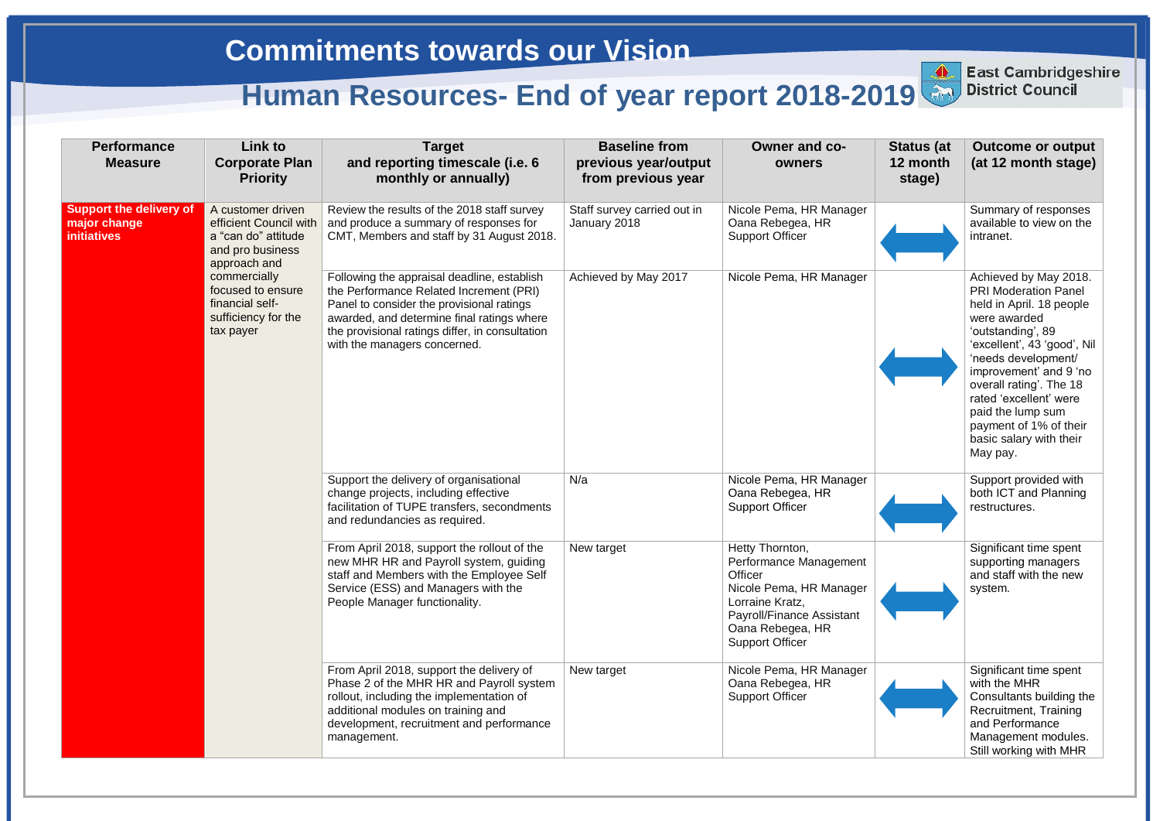**Status (at** 

**East Cambridgeshire** 

**Outcome or output** 

| <b>Performance</b><br><b>Measure</b>                                 | Link to<br><b>Corporate Plan</b><br><b>Priority</b>                                                                                                                                                | <b>Target</b><br>and reporting timescale (i.e. 6<br>monthly or annually)                                                                                                                                                                                             | <b>Baseline from</b><br>previous year/output<br>from previous year | Owner and co-<br>owners                                                                                                                                                       |
|----------------------------------------------------------------------|----------------------------------------------------------------------------------------------------------------------------------------------------------------------------------------------------|----------------------------------------------------------------------------------------------------------------------------------------------------------------------------------------------------------------------------------------------------------------------|--------------------------------------------------------------------|-------------------------------------------------------------------------------------------------------------------------------------------------------------------------------|
| <b>Support the delivery of</b><br>major change<br><b>initiatives</b> | A customer driven<br>efficient Council with<br>a "can do" attitude<br>and pro business<br>approach and<br>commercially<br>focused to ensure<br>financial self-<br>sufficiency for the<br>tax payer | Review the results of the 2018 staff survey<br>and produce a summary of responses for<br>CMT, Members and staff by 31 August 2018.                                                                                                                                   | Staff survey carried out in<br>January 2018                        | Nicole Pema, HR Manager<br>Oana Rebegea, HR<br><b>Support Officer</b>                                                                                                         |
|                                                                      |                                                                                                                                                                                                    | Following the appraisal deadline, establish<br>the Performance Related Increment (PRI)<br>Panel to consider the provisional ratings<br>awarded, and determine final ratings where<br>the provisional ratings differ, in consultation<br>with the managers concerned. | Achieved by May 2017                                               | Nicole Pema, HR Manager                                                                                                                                                       |
|                                                                      |                                                                                                                                                                                                    | Support the delivery of organisational<br>change projects, including effective<br>facilitation of TUPE transfers, secondments<br>and redundancies as required.                                                                                                       | N/a                                                                | Nicole Pema, HR Manager<br>Oana Rebegea, HR<br><b>Support Officer</b>                                                                                                         |
|                                                                      |                                                                                                                                                                                                    | From April 2018, support the rollout of the<br>new MHR HR and Payroll system, guiding<br>staff and Members with the Employee Self<br>Service (ESS) and Managers with the<br>People Manager functionality.                                                            | New target                                                         | Hetty Thornton,<br>Performance Management<br>Officer<br>Nicole Pema, HR Manager<br>Lorraine Kratz,<br>Payroll/Finance Assistant<br>Oana Rebegea, HR<br><b>Support Officer</b> |
|                                                                      |                                                                                                                                                                                                    | From April 2018, support the delivery of<br>Phase 2 of the MHR HR and Payroll system<br>rollout, including the implementation of<br>additional modules on training and<br>development, recruitment and performance<br>management.                                    | New target                                                         | Nicole Pema, HR Manager<br>Oana Rebegea, HR<br><b>Support Officer</b>                                                                                                         |



**12 month stage) (at 12 month stage)** Summary of responses available to view on the intranet. Achieved by May 2018. PRI Moderation Panel held in April. 18 people were awarded 'outstanding', 89 'excellent', 43 'good', Nil 'needs development/ improvement' and 9 'no overall rating'. The 18 rated 'excellent' were paid the lump sum payment of 1% of their basic salary with their May pay. Support provided with both ICT and Planning restructures. Significant time spent supporting managers and staff with the new system. Significant time spent with the MHR Consultants building the Recruitment, Training and Performance Management modules. Still working with MHR

**East Cambridgeshire District Council**

## **Commitments towards our Vision**

## **Human Resources- End of year report 2018-2019 District Council**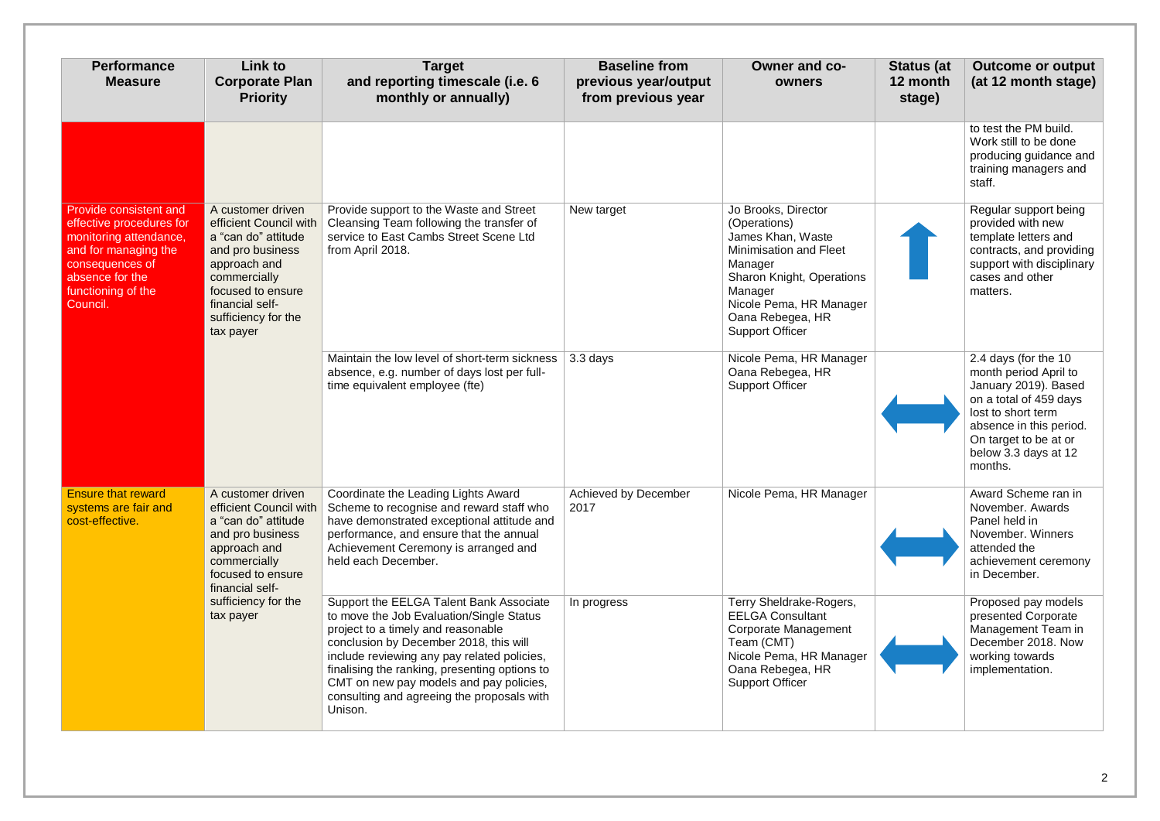| <b>Performance</b><br><b>Measure</b>                                                                                                                                         | Link to<br><b>Corporate Plan</b><br><b>Priority</b>                                                                                                                                                | <b>Target</b><br>and reporting timescale (i.e. 6<br>monthly or annually)                                                                                                                                                                                                                                                                                                | <b>Baseline from</b><br>previous year/output<br>from previous year | <b>Owner and co-</b><br>owners                                                                                                                                                                                               | <b>Status (at</b><br>12 month<br>stage) | <b>Outcome or output</b><br>(at 12 month stage)                                                                                                                                                              |
|------------------------------------------------------------------------------------------------------------------------------------------------------------------------------|----------------------------------------------------------------------------------------------------------------------------------------------------------------------------------------------------|-------------------------------------------------------------------------------------------------------------------------------------------------------------------------------------------------------------------------------------------------------------------------------------------------------------------------------------------------------------------------|--------------------------------------------------------------------|------------------------------------------------------------------------------------------------------------------------------------------------------------------------------------------------------------------------------|-----------------------------------------|--------------------------------------------------------------------------------------------------------------------------------------------------------------------------------------------------------------|
|                                                                                                                                                                              |                                                                                                                                                                                                    |                                                                                                                                                                                                                                                                                                                                                                         |                                                                    |                                                                                                                                                                                                                              |                                         | to test the PM build.<br>Work still to be done<br>producing guidance and<br>training managers and<br>staff.                                                                                                  |
| Provide consistent and<br>effective procedures for<br>monitoring attendance,<br>and for managing the<br>consequences of<br>absence for the<br>functioning of the<br>Council. | A customer driven<br>efficient Council with<br>a "can do" attitude<br>and pro business<br>approach and<br>commercially<br>focused to ensure<br>financial self-<br>sufficiency for the<br>tax payer | Provide support to the Waste and Street<br>Cleansing Team following the transfer of<br>service to East Cambs Street Scene Ltd<br>from April 2018.                                                                                                                                                                                                                       | New target                                                         | Jo Brooks, Director<br>(Operations)<br>James Khan, Waste<br><b>Minimisation and Fleet</b><br>Manager<br><b>Sharon Knight, Operations</b><br>Manager<br>Nicole Pema, HR Manager<br>Oana Rebegea, HR<br><b>Support Officer</b> |                                         | Regular support being<br>provided with new<br>template letters and<br>contracts, and providing<br>support with disciplinary<br>cases and other<br>matters.                                                   |
|                                                                                                                                                                              |                                                                                                                                                                                                    | Maintain the low level of short-term sickness<br>absence, e.g. number of days lost per full-<br>time equivalent employee (fte)                                                                                                                                                                                                                                          | 3.3 days                                                           | Nicole Pema, HR Manager<br>Oana Rebegea, HR<br><b>Support Officer</b>                                                                                                                                                        |                                         | 2.4 days (for the 10<br>month period April to<br>January 2019). Based<br>on a total of 459 days<br>lost to short term<br>absence in this period.<br>On target to be at or<br>below 3.3 days at 12<br>months. |
| <b>Ensure that reward</b><br>systems are fair and<br>cost-effective.                                                                                                         | A customer driven<br>efficient Council with<br>a "can do" attitude<br>and pro business<br>approach and<br>commercially<br>focused to ensure<br>financial self-<br>sufficiency for the<br>tax payer | Coordinate the Leading Lights Award<br>Scheme to recognise and reward staff who<br>have demonstrated exceptional attitude and<br>performance, and ensure that the annual<br>Achievement Ceremony is arranged and<br>held each December.                                                                                                                                 | <b>Achieved by December</b><br>2017                                | Nicole Pema, HR Manager                                                                                                                                                                                                      |                                         | Award Scheme ran in<br>November. Awards<br>Panel held in<br>November, Winners<br>attended the<br>achievement ceremony<br>in December.                                                                        |
|                                                                                                                                                                              |                                                                                                                                                                                                    | Support the EELGA Talent Bank Associate<br>to move the Job Evaluation/Single Status<br>project to a timely and reasonable<br>conclusion by December 2018, this will<br>include reviewing any pay related policies,<br>finalising the ranking, presenting options to<br>CMT on new pay models and pay policies,<br>consulting and agreeing the proposals with<br>Unison. | In progress                                                        | Terry Sheldrake-Rogers,<br><b>EELGA Consultant</b><br><b>Corporate Management</b><br>Team (CMT)<br>Nicole Pema, HR Manager<br>Oana Rebegea, HR<br><b>Support Officer</b>                                                     |                                         | Proposed pay models<br>presented Corporate<br>Management Team in<br>December 2018. Now<br>working towards<br>implementation.                                                                                 |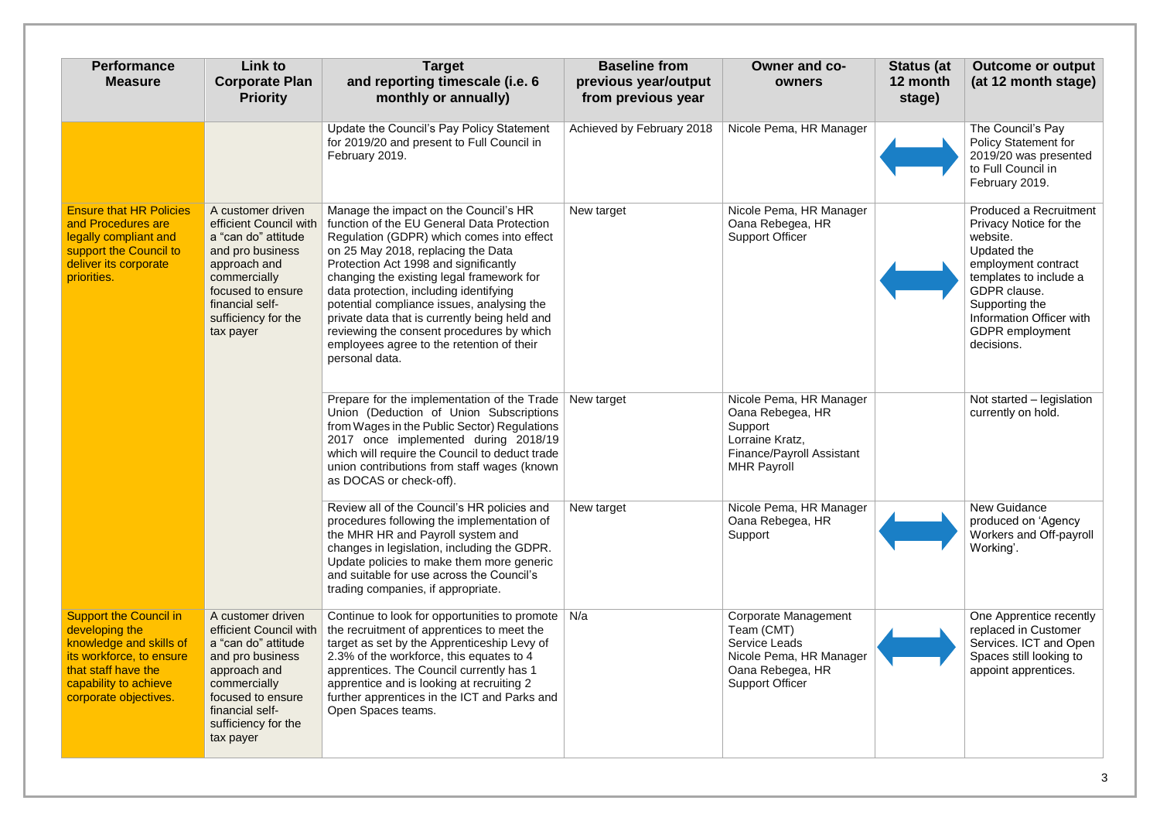| <b>Performance</b><br><b>Measure</b>                                                                                                                                            | Link to<br><b>Corporate Plan</b><br><b>Priority</b>                                                                                                                                                | <b>Target</b><br>and reporting timescale (i.e. 6<br>monthly or annually)                                                                                                                                                                                                                                                                                                                                                                                                                                          | <b>Baseline from</b><br>previous year/output<br>from previous year | <b>Owner and co-</b><br>owners                                                                                                             | <b>Status (at</b><br>12 month<br>stage) | <b>Outcome or output</b><br>(at 12 month stage)                                                                                                                                                                                    |
|---------------------------------------------------------------------------------------------------------------------------------------------------------------------------------|----------------------------------------------------------------------------------------------------------------------------------------------------------------------------------------------------|-------------------------------------------------------------------------------------------------------------------------------------------------------------------------------------------------------------------------------------------------------------------------------------------------------------------------------------------------------------------------------------------------------------------------------------------------------------------------------------------------------------------|--------------------------------------------------------------------|--------------------------------------------------------------------------------------------------------------------------------------------|-----------------------------------------|------------------------------------------------------------------------------------------------------------------------------------------------------------------------------------------------------------------------------------|
|                                                                                                                                                                                 |                                                                                                                                                                                                    | Update the Council's Pay Policy Statement<br>for 2019/20 and present to Full Council in<br>February 2019.                                                                                                                                                                                                                                                                                                                                                                                                         | Achieved by February 2018                                          | Nicole Pema, HR Manager                                                                                                                    |                                         | The Council's Pay<br><b>Policy Statement for</b><br>2019/20 was presented<br>to Full Council in<br>February 2019.                                                                                                                  |
| <b>Ensure that HR Policies</b><br>and Procedures are<br>legally compliant and<br>support the Council to<br>deliver its corporate<br>priorities.                                 | A customer driven<br>efficient Council with<br>a "can do" attitude<br>and pro business<br>approach and<br>commercially<br>focused to ensure<br>financial self-<br>sufficiency for the<br>tax payer | Manage the impact on the Council's HR<br>function of the EU General Data Protection<br>Regulation (GDPR) which comes into effect<br>on 25 May 2018, replacing the Data<br>Protection Act 1998 and significantly<br>changing the existing legal framework for<br>data protection, including identifying<br>potential compliance issues, analysing the<br>private data that is currently being held and<br>reviewing the consent procedures by which<br>employees agree to the retention of their<br>personal data. | New target                                                         | Nicole Pema, HR Manager<br>Oana Rebegea, HR<br><b>Support Officer</b>                                                                      |                                         | <b>Produced a Recruitment</b><br>Privacy Notice for the<br>website.<br>Updated the<br>employment contract<br>templates to include a<br>GDPR clause.<br>Supporting the<br>Information Officer with<br>GDPR employment<br>decisions. |
|                                                                                                                                                                                 |                                                                                                                                                                                                    | Prepare for the implementation of the Trade<br>Union (Deduction of Union Subscriptions<br>from Wages in the Public Sector) Regulations<br>2017 once implemented during 2018/19<br>which will require the Council to deduct trade<br>union contributions from staff wages (known<br>as DOCAS or check-off).                                                                                                                                                                                                        | New target                                                         | Nicole Pema, HR Manager<br>Oana Rebegea, HR<br>Support<br>Lorraine Kratz,<br>Finance/Payroll Assistant<br><b>MHR Payroll</b>               |                                         | Not started – legislation<br>currently on hold.                                                                                                                                                                                    |
|                                                                                                                                                                                 |                                                                                                                                                                                                    | Review all of the Council's HR policies and<br>procedures following the implementation of<br>the MHR HR and Payroll system and<br>changes in legislation, including the GDPR.<br>Update policies to make them more generic<br>and suitable for use across the Council's<br>trading companies, if appropriate.                                                                                                                                                                                                     | New target                                                         | Nicole Pema, HR Manager<br>Oana Rebegea, HR<br>Support                                                                                     |                                         | <b>New Guidance</b><br>produced on 'Agency<br>Workers and Off-payroll<br>Working'.                                                                                                                                                 |
| <b>Support the Council in</b><br>developing the<br>knowledge and skills of<br>its workforce, to ensure<br>that staff have the<br>capability to achieve<br>corporate objectives. | A customer driven<br>efficient Council with<br>a "can do" attitude<br>and pro business<br>approach and<br>commercially<br>focused to ensure<br>financial self-<br>sufficiency for the<br>tax payer | Continue to look for opportunities to promote<br>the recruitment of apprentices to meet the<br>target as set by the Apprenticeship Levy of<br>2.3% of the workforce, this equates to 4<br>apprentices. The Council currently has 1<br>apprentice and is looking at recruiting 2<br>further apprentices in the ICT and Parks and<br>Open Spaces teams.                                                                                                                                                             | N/a                                                                | <b>Corporate Management</b><br>Team (CMT)<br><b>Service Leads</b><br>Nicole Pema, HR Manager<br>Oana Rebegea, HR<br><b>Support Officer</b> |                                         | One Apprentice recently<br>replaced in Customer<br>Services. ICT and Open<br>Spaces still looking to<br>appoint apprentices.                                                                                                       |